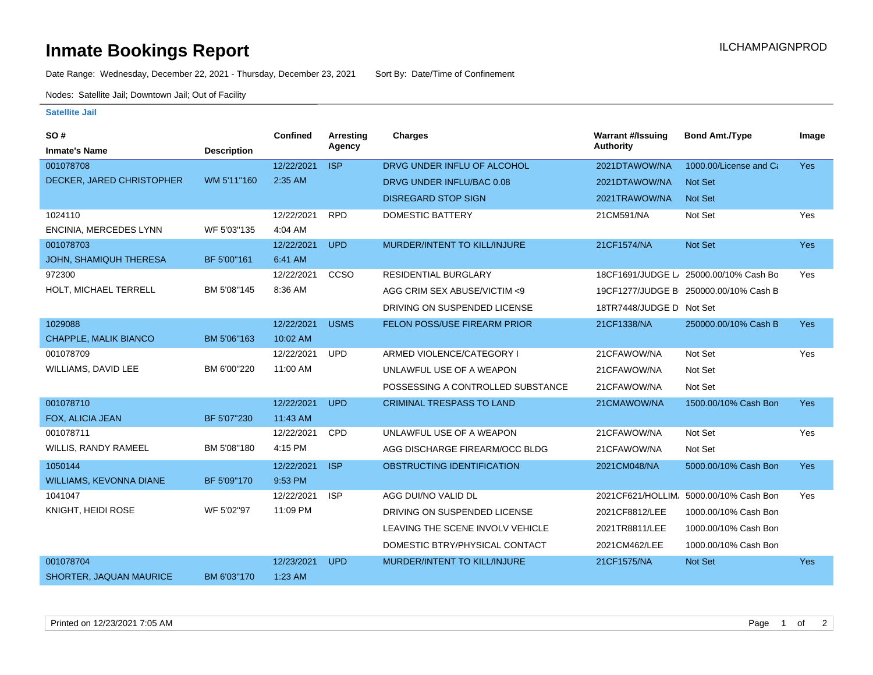## **Inmate Bookings Report Installation ILCHAMPAIGNPROD**

Date Range: Wednesday, December 22, 2021 - Thursday, December 23, 2021 Sort By: Date/Time of Confinement

Nodes: Satellite Jail; Downtown Jail; Out of Facility

## **Satellite Jail**

| SO#                            |                    | Confined   | Arresting   | <b>Charges</b>                    | <b>Warrant #/Issuing</b> | <b>Bond Amt./Type</b>                  | Image      |
|--------------------------------|--------------------|------------|-------------|-----------------------------------|--------------------------|----------------------------------------|------------|
| <b>Inmate's Name</b>           | <b>Description</b> |            | Agency      |                                   | <b>Authority</b>         |                                        |            |
| 001078708                      |                    | 12/22/2021 | <b>ISP</b>  | DRVG UNDER INFLU OF ALCOHOL       | 2021DTAWOW/NA            | 1000.00/License and Ca                 | <b>Yes</b> |
| DECKER, JARED CHRISTOPHER      | WM 5'11"160        | 2:35 AM    |             | DRVG UNDER INFLU/BAC 0.08         | 2021DTAWOW/NA            | <b>Not Set</b>                         |            |
|                                |                    |            |             | <b>DISREGARD STOP SIGN</b>        | 2021TRAWOW/NA            | <b>Not Set</b>                         |            |
| 1024110                        |                    | 12/22/2021 | <b>RPD</b>  | <b>DOMESTIC BATTERY</b>           | 21CM591/NA               | Not Set                                | Yes        |
| <b>ENCINIA, MERCEDES LYNN</b>  | WF 5'03"135        | 4:04 AM    |             |                                   |                          |                                        |            |
| 001078703                      |                    | 12/22/2021 | <b>UPD</b>  | MURDER/INTENT TO KILL/INJURE      | 21CF1574/NA              | Not Set                                | Yes        |
| <b>JOHN, SHAMIQUH THERESA</b>  | BF 5'00"161        | 6:41 AM    |             |                                   |                          |                                        |            |
| 972300                         |                    | 12/22/2021 | CCSO        | <b>RESIDENTIAL BURGLARY</b>       |                          | 18CF1691/JUDGE L/ 25000.00/10% Cash Bo | Yes        |
| HOLT, MICHAEL TERRELL          | BM 5'08"145        | 8:36 AM    |             | AGG CRIM SEX ABUSE/VICTIM <9      |                          | 19CF1277/JUDGE B 250000.00/10% Cash B  |            |
|                                |                    |            |             | DRIVING ON SUSPENDED LICENSE      | 18TR7448/JUDGE D Not Set |                                        |            |
| 1029088                        |                    | 12/22/2021 | <b>USMS</b> | FELON POSS/USE FIREARM PRIOR      | 21CF1338/NA              | 250000.00/10% Cash B                   | <b>Yes</b> |
| CHAPPLE, MALIK BIANCO          | BM 5'06"163        | 10:02 AM   |             |                                   |                          |                                        |            |
| 001078709                      |                    | 12/22/2021 | <b>UPD</b>  | ARMED VIOLENCE/CATEGORY I         | 21CFAWOW/NA              | Not Set                                | Yes        |
| WILLIAMS, DAVID LEE            | BM 6'00"220        | 11:00 AM   |             | UNLAWFUL USE OF A WEAPON          | 21CFAWOW/NA              | Not Set                                |            |
|                                |                    |            |             | POSSESSING A CONTROLLED SUBSTANCE | 21CFAWOW/NA              | Not Set                                |            |
| 001078710                      |                    | 12/22/2021 | <b>UPD</b>  | <b>CRIMINAL TRESPASS TO LAND</b>  | 21CMAWOW/NA              | 1500.00/10% Cash Bon                   | <b>Yes</b> |
| FOX, ALICIA JEAN               | BF 5'07"230        | 11:43 AM   |             |                                   |                          |                                        |            |
| 001078711                      |                    | 12/22/2021 | CPD         | UNLAWFUL USE OF A WEAPON          | 21CFAWOW/NA              | Not Set                                | Yes        |
| <b>WILLIS, RANDY RAMEEL</b>    | BM 5'08"180        | 4:15 PM    |             | AGG DISCHARGE FIREARM/OCC BLDG    | 21CFAWOW/NA              | Not Set                                |            |
| 1050144                        |                    | 12/22/2021 | <b>ISP</b>  | OBSTRUCTING IDENTIFICATION        | 2021CM048/NA             | 5000.00/10% Cash Bon                   | Yes        |
| <b>WILLIAMS, KEVONNA DIANE</b> | BF 5'09"170        | 9:53 PM    |             |                                   |                          |                                        |            |
| 1041047                        |                    | 12/22/2021 | <b>ISP</b>  | AGG DUI/NO VALID DL               |                          | 2021CF621/HOLLIM 5000.00/10% Cash Bon  | Yes        |
| KNIGHT, HEIDI ROSE             | WF 5'02"97         | 11:09 PM   |             | DRIVING ON SUSPENDED LICENSE      | 2021CF8812/LEE           | 1000.00/10% Cash Bon                   |            |
|                                |                    |            |             | LEAVING THE SCENE INVOLV VEHICLE  | 2021TR8811/LEE           | 1000.00/10% Cash Bon                   |            |
|                                |                    |            |             | DOMESTIC BTRY/PHYSICAL CONTACT    | 2021CM462/LEE            | 1000.00/10% Cash Bon                   |            |
| 001078704                      |                    | 12/23/2021 | <b>UPD</b>  | MURDER/INTENT TO KILL/INJURE      | 21CF1575/NA              | Not Set                                | <b>Yes</b> |
| SHORTER, JAQUAN MAURICE        | BM 6'03"170        | 1:23 AM    |             |                                   |                          |                                        |            |